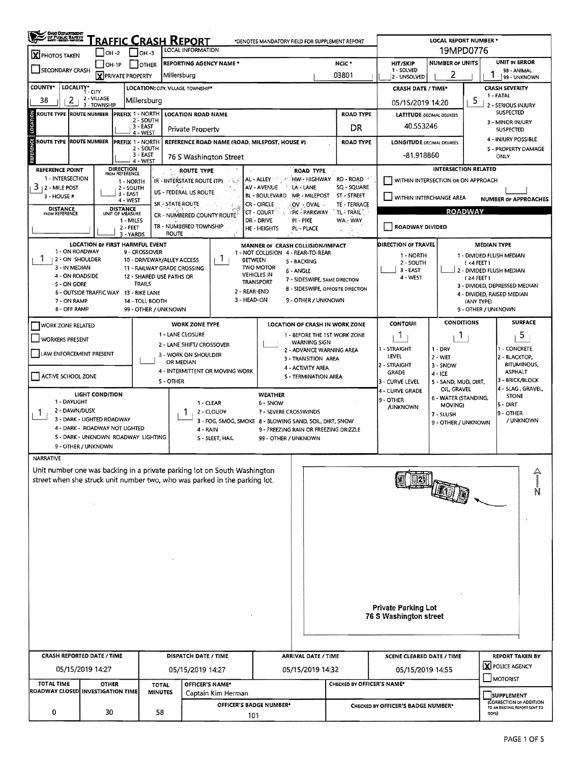| SING DEPARTMENT                                                                            |                                                            |                                          |                           |                                                                |                                                                                                                  | *DENOTES MANDATORY FIELD FOR SUPPLEMENT REPORT       |                                    |                        |                                                                    |                                                        | LOCAL REPORT NUMBER *                      |                                              |                                              |  |  |
|--------------------------------------------------------------------------------------------|------------------------------------------------------------|------------------------------------------|---------------------------|----------------------------------------------------------------|------------------------------------------------------------------------------------------------------------------|------------------------------------------------------|------------------------------------|------------------------|--------------------------------------------------------------------|--------------------------------------------------------|--------------------------------------------|----------------------------------------------|----------------------------------------------|--|--|
| <b>FRAFFIC CRASH REPORT</b><br>LOCAL INFORMATION<br>$ $ OH -2<br>∣ ∣он-з<br>X PHOTOS TAKEN |                                                            |                                          |                           |                                                                |                                                                                                                  |                                                      |                                    |                        |                                                                    | 19MPD0776                                              |                                            |                                              |                                              |  |  |
| SECONDARY CRASH                                                                            |                                                            | $OH-1P$<br><b>X</b> PRIVATE PROPERTY     | <b>OTHER</b>              | Millersburg                                                    | <b>REPORTING AGENCY NAME *</b>                                                                                   |                                                      | <b>HIT/SKIP</b><br>1 - SOLVED      | <b>NUMBER OF UNITS</b> | UNIT IN ERROR<br>98 - ANIMAL                                       |                                                        |                                            |                                              |                                              |  |  |
| <b>COUNTY</b> *                                                                            | LOCALITY* CITY                                             |                                          |                           | LOCATION: CITY, VILLAGE. TOWNSHIP*                             |                                                                                                                  |                                                      |                                    |                        | 03801                                                              | 2 - UNSOLVED<br><b>CRASH DATE / TIME*</b>              | 99 - UNKNOWN<br><b>CRASH SEVERITY</b>      |                                              |                                              |  |  |
| 38<br>2                                                                                    | 2 - VILLAGE<br>3 - TOWNSHIP                                |                                          | Millersburg               |                                                                |                                                                                                                  |                                                      |                                    |                        |                                                                    | 05/15/2019 14:20                                       | 1 - FATAL<br>2 - SERIOUS INJURY            |                                              |                                              |  |  |
| <b>ROUTE TYPE</b>                                                                          | <b>ROUTE NUMBER</b>                                        | PREFIX 1 - NORTH                         | 2 - SOUTH                 |                                                                | <b>LOCATION ROAD NAME</b>                                                                                        |                                                      |                                    | <b>ROAD TYPE</b>       | <b>LATITUDE DECIMAL DEGREES</b>                                    | <b>SUSPECTED</b>                                       |                                            |                                              |                                              |  |  |
| LOCATION                                                                                   |                                                            |                                          | 3 - EAST<br>4 - WEST      |                                                                | Private Property                                                                                                 |                                                      |                                    |                        | DR                                                                 | 40.553246                                              | 3 - MINOR INJURY<br><b>SUSPECTED</b>       |                                              |                                              |  |  |
| ROUTE TYPE ROUTE NUMBER                                                                    |                                                            | <b>PREFIX 1 - NORTH</b>                  | 2 - SOUTH                 |                                                                | REFERENCE ROAD NAME (ROAD, MILEPOST, HOUSE #)                                                                    |                                                      |                                    |                        | <b>ROAD TYPE</b>                                                   | <b>LONGITUDE DECIMAL DEGREES</b>                       | 4 - INJURY POSSIBLE<br>S - PROPERTY DAMAGE |                                              |                                              |  |  |
| REFERENCE                                                                                  |                                                            |                                          | 3 - EAST<br>4 - WEST      | 76 S Washington Street                                         |                                                                                                                  |                                                      |                                    |                        |                                                                    | -81.918860                                             |                                            |                                              | ONLY                                         |  |  |
| <b>REFERENCE POINT</b><br>1 - INTERSECTION                                                 |                                                            | DIRECTION<br>FROM REFERENCE              |                           |                                                                | ROUTE TYPE                                                                                                       | AL - ALLEY - PARTHW- HIGHWAY                         | ROAD TYPE                          |                        | -20<br>RD - ROAD                                                   | <b>INTERSECTION RELATED</b>                            |                                            |                                              |                                              |  |  |
| 3<br>  2 - Mile Post                                                                       |                                                            | 1 - NORTH<br>2 - SOUTH                   |                           | US - FEDERAL US ROUTE                                          | IR - INTERSTATE ROUTÉ (TP)<br>$-9.2$                                                                             | AV - AVENUE                                          | LA - LANE                          |                        | SQ - SQUARE                                                        |                                                        | WITHIN INTERSECTION OR ON APPROACH         |                                              |                                              |  |  |
| 3 - HOUSE #                                                                                |                                                            | 3 - EAST<br>4 - WEST                     |                           | SR - STATE ROUTE                                               |                                                                                                                  | <b>BL - BOULEVARD</b><br>-CR - CIRCLE                | <b>MP - MILEPOST</b><br>∴OV - OVAL |                        | ST-STREET<br>TE - TERRACE                                          | WITHIN INTERCHANGE AREA<br><b>NUMBER OF APPROACHES</b> |                                            |                                              |                                              |  |  |
| <b>DISTANCE</b><br>FROM REFERENCE                                                          |                                                            | DISTANCE<br>UNIT OF MEASURE<br>1 - MILES |                           |                                                                | CR - NUMBERED COUNTY ROUTE                                                                                       | CT - COURT PK - PARKWAY<br>DR - DRIVE                | PI - PIKE                          |                        | TL-TRAIL<br>WA - WAY                                               | <b>ROADWAY</b>                                         |                                            |                                              |                                              |  |  |
|                                                                                            |                                                            | $2 - FEET$<br>3 - YARDS                  |                           | <b>ROUTE</b>                                                   | TR - NUMBERED TOWNSHIP                                                                                           | HE - HEIGHTS                                         | PL- PLACE                          |                        |                                                                    | ROADWAY DIVIDED                                        |                                            |                                              |                                              |  |  |
|                                                                                            | <b>LOCATION OF FIRST HARMFUL EVENT</b>                     |                                          |                           |                                                                |                                                                                                                  | MANNER OF CRASH COLLISION/IMPACT                     |                                    |                        |                                                                    | DIRECTION OF TRAVEL                                    |                                            | <b>MEDIAN TYPE</b>                           |                                              |  |  |
| ÷.                                                                                         | 1 - ON ROADWAY<br>2 - ON SHOULDER                          |                                          | 9 - CROSSOVER             | 10 - DRIVEWAY/ALLEY ACCESS                                     | -1                                                                                                               | 1 - NOT COLLISION 4 - REAR-TO-REAR<br><b>BETWEEN</b> | S - BACKING                        |                        |                                                                    | 1 - NORTH<br>2 - SOUTH                                 | 1 - DIVIDED FLUSH MEDIAN<br>(4 FEET)       |                                              |                                              |  |  |
| 3 - IN MEDIAN<br>4 - ON ROADSIDE                                                           |                                                            |                                          |                           | <b>11 - RAILWAY GRADE CROSSING</b><br>12 - SHARED USE PATHS OR |                                                                                                                  | <b>TWO MOTOR</b><br><b>VEHICLES IN</b>               | 6 - ANGLE                          |                        |                                                                    | 3 - EAST<br>4 - WEST                                   |                                            | 2 - DIVIDED FLUSH MEDIAN                     |                                              |  |  |
| S - ON GORE                                                                                |                                                            |                                          | <b>TRAILS</b>             |                                                                |                                                                                                                  | TRANSPORT<br>2 - REAR-END                            |                                    |                        | 7 - SIDESWIPE, SAME DIRECTION<br>8 - SIDESWIPE, OPPOSITE DIRECTION |                                                        |                                            | $(24$ FEET)<br>3 - DIVIDED, DEPRESSED MEDIAN |                                              |  |  |
| 7 - ON RAMP                                                                                | 6 - OUTSIDE TRAFFIC WAY 13 - BIKE LANE                     |                                          | 14 - TOLL BOOTH           |                                                                |                                                                                                                  | 3 - HEAD-ON                                          | 9 - OTHER / UNKNOWN                |                        |                                                                    |                                                        |                                            | (ANY TYPE)                                   | 4 - DIVIDED, RAISED MEDIAN                   |  |  |
| 8 - OFF RAMP                                                                               |                                                            |                                          | 99 - OTHER / UNKNOWN      |                                                                |                                                                                                                  |                                                      |                                    |                        |                                                                    |                                                        |                                            | 9 - OTHER / UNKNOWN                          |                                              |  |  |
| WORK ZONE RELATED                                                                          |                                                            |                                          |                           |                                                                | <b>WORK ZONE TYPE</b><br><b>LOCATION OF CRASH IN WORK ZONE</b><br>1 LANE CLOSURE<br>1 - BEFORE THE 1ST WORK ZONE |                                                      |                                    |                        |                                                                    | CONTOUR                                                | <b>CONDITIONS</b>                          |                                              | <b>SURFACE</b><br>5                          |  |  |
| <b>WORKERS PRESENT</b>                                                                     |                                                            |                                          | 2 - LANE SHIFT/ CROSSOVER |                                                                | WARNING SIGN                                                                                                     |                                                      |                                    | 1<br>1 - STRAIGHT      | 1<br>$1 - DRY$                                                     |                                                        | 1 - CONCRETE                               |                                              |                                              |  |  |
| LAW ENFORCEMENT PRESENT                                                                    |                                                            |                                          |                           | OR MEDIAN                                                      | 2 - ADVANCE WARNING AREA<br>3 - WORK ON SHOULDER<br>3 - TRANSITION AREA                                          |                                                      |                                    |                        |                                                                    | LEVEL                                                  | 2 - BLACKTOP,                              |                                              |                                              |  |  |
| ACTIVE SCHOOL ZONE                                                                         |                                                            |                                          |                           |                                                                | 4 - ACTIVITY AREA<br>4 - INTERMITTENT OR MOVING WORK<br>5 - TERMINATION AREA                                     |                                                      |                                    |                        |                                                                    | 2 - STRAIGHT<br>GRADE                                  | 3 - SNOW<br>$4 - ICE$                      |                                              | <b>BITUMINOUS,</b><br><b>ASPHALT</b>         |  |  |
|                                                                                            |                                                            |                                          |                           | 5 - OTHER                                                      |                                                                                                                  |                                                      |                                    |                        |                                                                    | 3 - CURVE LEVEL<br>4 - CURVE GRADE                     | 3 - BRICK/BLOCK<br>4 - SLAG, GRAVEL,       |                                              |                                              |  |  |
| 1 - DAYLIGHT                                                                               | <b>LIGHT CONDITION</b>                                     |                                          |                           |                                                                | $1 - CLEAR$                                                                                                      | <b>WEATHER</b><br>6 - SNOW                           |                                    |                        |                                                                    | 9 - OTHER                                              | 6 - WATER (STANDING,<br>MOVING)            |                                              | <b>STONE</b><br>5 - DIRT                     |  |  |
| 2 - DAWN/DUSK<br>Т.                                                                        | 3 - DARK - LIGHTED ROADWAY                                 |                                          |                           |                                                                | 2 - CLOUDY                                                                                                       | 7 - SEVERE CROSSWINDS                                |                                    |                        |                                                                    | <b>JUNKNOWN</b>                                        | 7 - SLUSH                                  |                                              | 9 - OTHER                                    |  |  |
|                                                                                            | 4 - DARK - ROADWAY NOT LIGHTED                             |                                          |                           |                                                                | 3 - FOG, SMOG, SMOKE 8 - BLOWING SAND, SOIL, DIRT, SNOW<br>4 - RAIN<br>9 - FREEZING RAIN OR FREEZING DRIZZLE     |                                                      |                                    |                        |                                                                    |                                                        | 9 - OTHER / UNKNOWN                        |                                              | / UNKNOWN                                    |  |  |
|                                                                                            | 5 - DARK - UNKNOWN ROADWAY LIGHTING<br>9 - OTHER / UNKNOWN |                                          |                           |                                                                | S - SLEET, HAIL                                                                                                  | 99 - OTHER / UNKNOWN                                 |                                    |                        |                                                                    |                                                        |                                            |                                              |                                              |  |  |
| NARRATIVE                                                                                  |                                                            |                                          |                           |                                                                |                                                                                                                  |                                                      |                                    |                        |                                                                    |                                                        |                                            |                                              |                                              |  |  |
|                                                                                            |                                                            |                                          |                           |                                                                | Unit number one was backing in a private parking lot on South Washington                                         |                                                      |                                    |                        |                                                                    |                                                        |                                            |                                              |                                              |  |  |
|                                                                                            |                                                            |                                          |                           |                                                                | street when she struck unit number two, who was parked in the parking lot.                                       |                                                      |                                    |                        |                                                                    |                                                        |                                            |                                              |                                              |  |  |
|                                                                                            |                                                            |                                          |                           |                                                                |                                                                                                                  |                                                      |                                    |                        |                                                                    |                                                        | they                                       |                                              | N                                            |  |  |
|                                                                                            |                                                            |                                          |                           |                                                                |                                                                                                                  |                                                      |                                    |                        |                                                                    |                                                        |                                            |                                              |                                              |  |  |
|                                                                                            |                                                            |                                          |                           |                                                                |                                                                                                                  |                                                      |                                    |                        |                                                                    |                                                        |                                            |                                              |                                              |  |  |
|                                                                                            |                                                            |                                          |                           |                                                                |                                                                                                                  |                                                      |                                    |                        |                                                                    |                                                        |                                            |                                              |                                              |  |  |
|                                                                                            |                                                            |                                          |                           |                                                                |                                                                                                                  |                                                      |                                    |                        |                                                                    |                                                        |                                            |                                              |                                              |  |  |
|                                                                                            |                                                            |                                          |                           |                                                                |                                                                                                                  |                                                      |                                    |                        |                                                                    |                                                        |                                            |                                              |                                              |  |  |
|                                                                                            |                                                            |                                          |                           |                                                                |                                                                                                                  |                                                      |                                    |                        |                                                                    |                                                        |                                            |                                              |                                              |  |  |
|                                                                                            |                                                            |                                          |                           |                                                                |                                                                                                                  |                                                      |                                    |                        |                                                                    |                                                        |                                            |                                              |                                              |  |  |
|                                                                                            |                                                            |                                          |                           |                                                                |                                                                                                                  |                                                      |                                    |                        |                                                                    | <b>Private Parking Lot</b><br>76 S Washington street   |                                            |                                              |                                              |  |  |
|                                                                                            |                                                            |                                          |                           |                                                                |                                                                                                                  |                                                      |                                    |                        |                                                                    |                                                        |                                            |                                              |                                              |  |  |
|                                                                                            |                                                            |                                          |                           |                                                                |                                                                                                                  |                                                      |                                    |                        |                                                                    |                                                        |                                            |                                              |                                              |  |  |
| <b>CRASH REPORTED DATE / TIME</b>                                                          |                                                            |                                          |                           |                                                                | <b>DISPATCH DATE / TIME</b>                                                                                      |                                                      | <b>ARRIVAL DATE / TIME</b>         |                        |                                                                    | <b>SCENE CLEARED DATE / TIME</b>                       |                                            |                                              | <b>REPORT TAKEN BY</b>                       |  |  |
|                                                                                            | 05/15/2019 14:27                                           |                                          |                           |                                                                | 05/15/2019 14:27                                                                                                 |                                                      | 05/15/2019 14:32                   |                        |                                                                    | 05/15/2019 14:55                                       |                                            |                                              | <b>X</b> POLICE AGENCY                       |  |  |
| TOTAL TIME                                                                                 |                                                            | <b>OTHER</b>                             | <b>TOTAL</b>              |                                                                | OFFICER'S NAME*                                                                                                  |                                                      |                                    |                        |                                                                    | MOTORIST<br>CHECKED BY OFFICER'S NAME*                 |                                            |                                              |                                              |  |  |
| ROADWAY CLOSED INVESTIGATION TIME<br><b>MINUTES</b><br>Captain Kim Herman                  |                                                            |                                          |                           |                                                                |                                                                                                                  |                                                      |                                    |                        |                                                                    |                                                        |                                            |                                              | <b>SUPPLEMENT</b><br>(CORRECTION OR ADDITION |  |  |
| OFFICER'S BADGE NUMBER*<br>30<br>0<br>58<br>101                                            |                                                            |                                          |                           |                                                                |                                                                                                                  |                                                      |                                    |                        |                                                                    | CHECKED BY OFFICER'S BADGE NUMBER*                     |                                            | ODPS)                                        | TO AN EXISTING REPORT SENT TO                |  |  |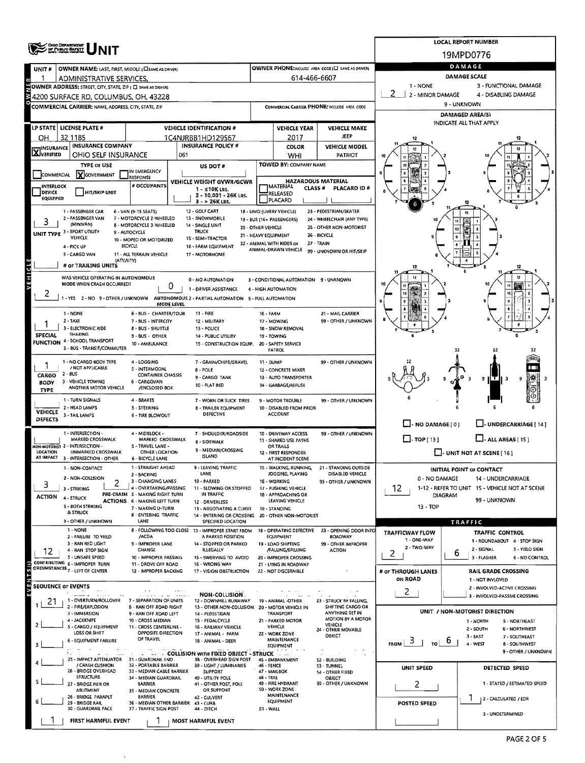|                            | <b>OHIO DEPARTMENT</b>                                              |                                                                             | <b>LOCAL REPORT NUMBER</b>                                                      |                      |                                                 |                                                   |                                               |                                                               |  |  |  |  |  |
|----------------------------|---------------------------------------------------------------------|-----------------------------------------------------------------------------|---------------------------------------------------------------------------------|----------------------|-------------------------------------------------|---------------------------------------------------|-----------------------------------------------|---------------------------------------------------------------|--|--|--|--|--|
|                            | OF PUBLIC SAFETY                                                    |                                                                             |                                                                                 |                      |                                                 |                                                   | 19MPD0776                                     |                                                               |  |  |  |  |  |
| UNIT#                      | OWNER NAME: LAST, FIRST, MIDDLE (CI SAME AS DRIVER)                 |                                                                             |                                                                                 |                      |                                                 | OWNER PHONE:INCLUDE AREA CODE (C) SAME AS ORIVERY | DAMAGE                                        |                                                               |  |  |  |  |  |
|                            | ADMINISTRATIVE SERVICES.                                            |                                                                             |                                                                                 |                      | 614-466-6607                                    |                                                   | <b>DAMAGE SCALE</b>                           |                                                               |  |  |  |  |  |
|                            | <b>NOWNER ADDRESS: STREET, CITY, STATE, ZIP ( C) SAME AS DRUGRY</b> |                                                                             |                                                                                 |                      |                                                 |                                                   | 1 - NONE                                      | 3 - FUNCTIONAL DAMAGE                                         |  |  |  |  |  |
|                            | 4200 SURFACE RD, COLUMBUS, OH, 43228                                |                                                                             |                                                                                 |                      |                                                 |                                                   | 2<br>2 - MINOR DAMAGE<br>4 - DISABLING DAMAGE |                                                               |  |  |  |  |  |
|                            | COMMERCIAL CARRIER: NAME, ADDRESS, CITY, STATE, ZIP                 |                                                                             |                                                                                 |                      |                                                 | COMMERCIAL CARRIER PHONE: INCLUDE AREA CODE       | 9 - UNKNOWN                                   |                                                               |  |  |  |  |  |
|                            |                                                                     |                                                                             |                                                                                 |                      |                                                 |                                                   | DAMAGED AREA(S)<br>INDICATE ALL THAT APPLY    |                                                               |  |  |  |  |  |
|                            | LP STATE   LICENSE PLATE #                                          |                                                                             | <b>VEHICLE IDENTIFICATION #</b>                                                 |                      | <b>VEHICLE YEAR</b>                             | <b>VEHICLE MAKE</b>                               |                                               |                                                               |  |  |  |  |  |
| OН                         | 32 1185                                                             |                                                                             | 1C4NJRBB1HD129567<br><b>INSURANCE POLICY #</b>                                  |                      | 2017                                            | <b>JEEP</b>                                       |                                               |                                                               |  |  |  |  |  |
| <b>X</b> INSURANCE         | INSURANCE COMPANY<br>OHIO SELF INSURANCE                            | 061                                                                         |                                                                                 |                      | <b>COLOR</b><br>WHI                             | <b>VEHICLE MODEL</b><br>PATRIOT                   |                                               |                                                               |  |  |  |  |  |
|                            | <b>TYPE OF USE</b>                                                  |                                                                             | US DOT#                                                                         |                      | TOWED BY: COMPANY NAME                          |                                                   |                                               |                                                               |  |  |  |  |  |
| COMMERCIAL                 | <b>Y</b> GOVERNMENT                                                 | IN EMERGENCY<br>RESPONSE                                                    |                                                                                 |                      |                                                 |                                                   |                                               |                                                               |  |  |  |  |  |
| INTERLOCK                  |                                                                     | # OCCUPANTS                                                                 | VEHICLE WEIGHT GVWR/GCWR<br>1 - ≤10K LBS.                                       |                      | MATERIAL<br>CLASS <sup>#</sup>                  | HAZARDOUS MATERIAL<br>PLACARD ID #                |                                               |                                                               |  |  |  |  |  |
| DEVICE<br><b>EQUIPPED</b>  | HIT/SKIP UNIT                                                       |                                                                             | 2 - 10,001 - 26K LBS.                                                           |                      | RELEASED<br>PLACARD                             |                                                   |                                               |                                                               |  |  |  |  |  |
|                            | 1 - PASSENGER CAR                                                   | 6 - VAN (9-15 SEATS)                                                        | 3 - > 26K LBS.<br>12 - GOLF CART                                                |                      | 18 - LIMO (LIVERY VEHICLE)                      | 23 - PEDESTRIAN/SKATER                            |                                               |                                                               |  |  |  |  |  |
|                            | 2 - PASSENGER VAN                                                   | 7 - MOTORCYCLE 2-WHEELED                                                    | 13 - SNOWMOBILE                                                                 |                      | 19 - BUS (16+ PASSENGERS)                       | 24 - WHEELCHAIR (ANY TYPE)                        |                                               |                                                               |  |  |  |  |  |
|                            | (MINIVAN)<br>UNIT TYPE 3 - SPORT UTILITY                            | <b>8 - MOTORCYCLE 3-WHEELED</b><br>9 - AUTOCYCLE                            | 14 - SINGLE UNIT<br><b>TRUCK</b>                                                | 20 - OTHER VEHICLE   |                                                 | 25 - OTHER NON-MOTORIST                           |                                               |                                                               |  |  |  |  |  |
|                            | VEHICLE                                                             | 10 - MOPED OR MOTORIZED                                                     | 15 - SEMI-TRACTOR                                                               | 21 - HEAVY EQUIPMENT | 22 - ANIMAL WITH RIDER OR                       | 26 - BICYCLE<br>27 - TRAIN                        |                                               |                                                               |  |  |  |  |  |
|                            | 4 - PICK UP<br>5 - CARGO VAN                                        | <b>BICYCLE</b><br>11 - ALL TERRAIN VEHICLE                                  | 16 - FARM EQUIPMENT<br>17 - MOTORHOME                                           |                      | ANIMAL-DRAWN VEHICLE                            | 99 - UNKNOWN OR HIT/SKIP                          |                                               |                                                               |  |  |  |  |  |
|                            | (ATV/UTV)                                                           |                                                                             |                                                                                 |                      |                                                 |                                                   |                                               |                                                               |  |  |  |  |  |
|                            | # OF TRAILING UNITS                                                 |                                                                             |                                                                                 |                      |                                                 |                                                   | 12                                            | 12                                                            |  |  |  |  |  |
| AEHICIE                    | WAS VEHICLE OPERATING IN AUTONOMOUS<br>MODE WHEN CRASH OCCURRED?    | 0                                                                           | 0 - NO AUTOMATION                                                               |                      | 3 - CONDITIONAL AUTOMATION 9 - UNKNOWN          |                                                   |                                               | 12                                                            |  |  |  |  |  |
| 2                          |                                                                     |                                                                             | 1 - DRIVER ASSISTANCE                                                           |                      | 4 - HIGH AUTOMATION                             |                                                   |                                               |                                                               |  |  |  |  |  |
|                            | 1-YES 2-NO 9-OTHER/UNKNOWN                                          | MODE LEVEL                                                                  | AUTONOMOUS 2 - PARTIAL AUTOMATION 5 - FULL AUTOMATION                           |                      |                                                 |                                                   |                                               |                                                               |  |  |  |  |  |
|                            | 1 - NONE                                                            | 6 - SUS - CHARTER/TOUR                                                      | 11 - FIRE                                                                       | 16 - FARM            |                                                 | 21 - MAIL CARRIER                                 |                                               |                                                               |  |  |  |  |  |
|                            | 2 TAXI<br>3 - ELECTRONIC RIDE                                       | 7 - BUS - INTERCITY<br><b>8 - BUS - SHUTTLE</b>                             | 12 - MILITARY<br>13 - POLICE                                                    |                      | 17 - MOWING<br>18 - SNOW REMOVAL                | 99 - OTHER / UNKNOWN                              |                                               |                                                               |  |  |  |  |  |
| SPECIAL                    | <b>SHARING</b>                                                      | 9 - BUS - OTHER                                                             | 14 - PUBLIC UTILITY                                                             |                      | 19 - TOWING                                     |                                                   |                                               |                                                               |  |  |  |  |  |
|                            | <b>FUNCTION 4 - SCHOOL TRANSPORT</b><br>5 - BUS - TRANSIT/COMMUTER  | 10 - AMBULANCE                                                              | 15 - CONSTRUCTION EQUIP.                                                        |                      | 20 - SAFETY SERVICE                             |                                                   |                                               |                                                               |  |  |  |  |  |
|                            |                                                                     |                                                                             |                                                                                 |                      | PATROL                                          |                                                   |                                               |                                                               |  |  |  |  |  |
|                            | 1 - NO CARGO BODY TYPE<br>/ NOT APPLICABLE                          | 4 - LOGGING<br>5 - INTERMODAL                                               | 7 - GRAIN/CHIPS/GRAVEL<br>$8 - POLE$                                            | 11 - DUMP            | 12 - CONCRETE MIXER                             | 99 - OTHER / UNKNOWN                              |                                               |                                                               |  |  |  |  |  |
| CARGO                      | 2 - BUS<br>3 - VEHICLE TOWING                                       | <b>CONTAINER CHASSIS</b><br>6 - CARGOVAN                                    | 9 - CARGO TANK                                                                  |                      | 13 - AUTO TRANSPORTER                           |                                                   |                                               | 9<br>11 F I                                                   |  |  |  |  |  |
| <b>BODY</b><br><b>TYPE</b> | ANOTHER MOTOR VEHICLE                                               | /ENCLOSED BOX                                                               | 10 - FLAT BED                                                                   |                      | 14 - GARBAGE/REFUSE                             |                                                   |                                               |                                                               |  |  |  |  |  |
|                            | 1 - TURN SIGNALS                                                    | 4 - BRAKES                                                                  | 7 - WORN OR SLICK TIRES                                                         |                      | 9 - MOTOR TROUBLE                               | 99 - OTHER / UNKNOWN                              |                                               |                                                               |  |  |  |  |  |
| <b>VEHICLE</b>             | 2 - HEAD LAMPS                                                      | <b>5 - STEERING</b>                                                         | 8 - TRAILER EQUIPMENT<br>DEFECTIVE                                              |                      | 10 - DISABLED FROM PRIOR<br><b>ACCIDENT</b>     |                                                   |                                               |                                                               |  |  |  |  |  |
| DEFECTS                    | 3 - TAIL LAMPS                                                      | <b>6 - TIRE BLOWOUT</b>                                                     |                                                                                 |                      |                                                 |                                                   | $\Box$ - NO DAMAGE $(0)$                      | U-UNDERCARRIAGE [14]                                          |  |  |  |  |  |
|                            | 1 - INTERSECTION -                                                  | 4 - MIDBLOCK -                                                              | 7 - SHOULDER/ROADSIDE                                                           |                      | 10 - DRIVEWAY ACCESS                            | 99 - OTHER / UNKNOWN                              |                                               |                                                               |  |  |  |  |  |
|                            | MARKED CROSSWALK<br>NON-MOTORIST 2 - INTERSECTION -                 | MARKED CROSSWALK<br>S - TRAVEL LANE -                                       | <b>8 - SIDEWALK</b>                                                             |                      | 11 - SHARED USE PATHS<br>OR TRAILS              |                                                   | $\Box$ -TOP(13)                               | $\Box$ - ALL AREAS [15]                                       |  |  |  |  |  |
| <b>LOCATION</b>            | UNMARKED CROSSWALK                                                  | OTHER LOCATION                                                              | 9 - MEDIAN/CROSSING<br><b>ISLAND</b>                                            |                      | 12 - FIRST RESPONDER                            |                                                   |                                               | $\Box$ - UNIT NOT AT SCENE [ 16 ]                             |  |  |  |  |  |
|                            | AT IMPACT 3 - INTERSECTION - OTHER<br>1 - NON-CONTACT               | <b>6 - BICYCLE LANE</b><br>1 - STRAIGHT AHEAD                               | - LEAVING TRAFFIC                                                               |                      | AT INCIDENT SCENE<br>15 - WALKING, RUNNING,     | <b>21 - STANDING OUTSIDE</b>                      |                                               |                                                               |  |  |  |  |  |
|                            | 2 - NON-COLLISION                                                   | 2 - BACKING                                                                 | LANE                                                                            |                      | JOGGING, PLAYING                                | DISABLED VEHICLE                                  | 0 - NO DAMAGE                                 | INITIAL POINT OF CONTACT<br>14 - UNDERCARRIAGE                |  |  |  |  |  |
| 3                          | 2<br>3 - STRIKING                                                   | 3 - CHANGING LANES<br>4 - OVERTAKING/PASSING                                | 10 - PARKED<br>11 - SLOWING OR STOPPED                                          |                      | 16 - WORKING<br>17 - PUSHING VEHICLE            | 99 - OTHER / UNKNOWN                              | 12                                            | 1-12 - REFER TO UNIT 15 - VEHICLE NOT AT SCENE                |  |  |  |  |  |
| <b>ACTION</b>              | 4 - STRUCK                                                          | PRE-CRASH 5 - MAKING RIGHT TURN                                             | IN TRAFFIC                                                                      |                      | 18 - APPROACHING OR<br>LEAVING VEHICLE          |                                                   | <b>DIAGRAM</b>                                | 99 - UNKNOWN                                                  |  |  |  |  |  |
|                            | 5 - 80TH STRIKING                                                   | ACTIONS 6 - MAKING LEFT TURN<br>7 - MAKING U-TURN                           | 12 - DRIVERLESS<br>13 - NEGOTIATING A CURVE                                     |                      | 19 - STANDING                                   |                                                   | $13 - TOP$                                    |                                                               |  |  |  |  |  |
|                            | <b>&amp; STRUCK</b><br>9 - OTHER / UNKNOWN                          | <b>8 - ENTERING TRAFFIC</b><br>LANE                                         | 14 - ENTERING OR CROSSING 20 - OTHER NON-MOTORIST<br>SPECIFIED LOCATION         |                      |                                                 |                                                   |                                               |                                                               |  |  |  |  |  |
|                            | 1 - NONE                                                            |                                                                             | 8 - FOLLOWING TOO CLOSE 13 - IMPROPER START FROM                                |                      |                                                 | 18 - OPERATING DEFECTIVE 23 - OPENING DOOR INTO   |                                               | TRAFFIC                                                       |  |  |  |  |  |
|                            | 2 - FAILURE TO YIELD                                                | /ACDA                                                                       | A PARKED POSITION                                                               |                      | EQUIPMENT                                       | <b>ROADWAY</b>                                    | <b>TRAFFICWAY FLOW</b><br>1 - ONE-WAY         | TRAFFIC CONTROL<br>1 - ROUNDABOUT 4 - STOP SIGN               |  |  |  |  |  |
| 12                         | 3 - RAN RED LIGHT<br>4 - RAN STOP SIGN                              | 9 - IMPROPER LANE<br>CHANGE                                                 | 14 - STOPPED OR PARKED<br>ILLEGALLY                                             |                      | 19 - LOAD SHIFTING<br>FALLING/SPILLING          | 99 - OTHER IMPROPER<br><b>ACTION</b>              | 2 - TWO-WAY                                   | 2 - SIGNAL<br>5 - YIELD SIGN<br>6                             |  |  |  |  |  |
|                            | 5 - UNSAFE SPEED<br>CONTRIBUTING 6 - IMPROPER TURN                  | 10 - IMPROPER PASSING<br>11 - DROVE OFF ROAD                                | 15 - SWERVING TO AVOID<br>16 - WRONG WAY                                        |                      | 20 - IMPROPER CROSSING<br>21 - LYING IN ROADWAY |                                                   | 2                                             | 3 - FLASHER<br>6 - NO CONTROL                                 |  |  |  |  |  |
| <b>FES.61</b>              | CIRCUMSTANCES <sub>7</sub> - LEFT OF CENTER                         | 12 - IMPROPER BACKING                                                       | 17 - VISION OBSTRUCTION                                                         |                      | 22 - NOT DISCERNIBLE                            |                                                   | # OF THROUGH LANES                            | <b>RAIL GRADE CROSSING</b>                                    |  |  |  |  |  |
|                            |                                                                     |                                                                             |                                                                                 |                      |                                                 |                                                   | ON ROAD                                       | 1 - NOT INVLOVED                                              |  |  |  |  |  |
| SEOUENCE OF EVENTS         | and some that                                                       |                                                                             | <b>NON-COLLISION:</b>                                                           |                      | - 6 -                                           |                                                   | $\overline{c}$                                | 2 - INVOLVED-ACTIVE CROSSING<br>3 - INVOLVED-PASSIVE CROSSING |  |  |  |  |  |
| 21                         | 1 - OVERTURN/ROLLOVER<br>2 - FIRE/EXPLOSION                         | 7 - SEPARATION OF UNITS<br><b>B - RAN OFF ROAD RIGHT</b>                    | 12 - DOWNHILL RUNAWAY<br>13 - OTHER NON-COLLISION 20 - MOTOR VEHICLE IN         |                      | 19 - ANIMAL -OTHER                              | 23 - STRUCK BY FALLING,<br>SHIFTING CARGO OR      |                                               |                                                               |  |  |  |  |  |
|                            | 3 - IMMERSION                                                       | 9 - RAN OFF ROAD LEFT                                                       | 14 - PEDESTRIAN                                                                 |                      | TRANSPORT                                       | ANYTHING SET IN                                   |                                               | UNIT / NON-MOTORIST DIRECTION                                 |  |  |  |  |  |
| $\overline{c}$             | 4 - JACKKNIFE<br>5 - CARGO / EQUIPMENT                              | 10 - CROSS MEDIAN<br>11 - CROSS CENTERLINE -                                | 15 - PEDALCYCLE<br>16 - RAILWAY VEHICLE                                         |                      | 21 - PARKED MOTOR<br>VEHICLE                    | MOTION BY A MOTOR<br>VEHICLE                      |                                               | 1 - NORTH<br>5 - NORTHEAST                                    |  |  |  |  |  |
|                            | <b>LOSS OR SHIFT</b>                                                | OPPOSITE DIRECTION                                                          | 17 - ANIMAL - FARM                                                              |                      | 22 - WORK ZONE                                  | 24 - OTHER MOVABLE<br>OBJECT                      |                                               | 2 - SOUTH<br>6 - NORTHWEST<br>3 - EAST<br>7 - SOUTHEAST       |  |  |  |  |  |
| з                          | 6 - EQUIPMENT FAILURE                                               | OF TRAVEL                                                                   | 18 - ANIMAL - DEER                                                              |                      | MAINTENANCE<br>EQUIPMENT                        |                                                   | 3<br>O<br><b>FROM</b><br>TO I                 | 4 - WEST<br>8 - SOUTHWEST                                     |  |  |  |  |  |
|                            | 25 - IMPACT ATTENUATOR 31 - GUARDRAIL END                           |                                                                             | <b>COLLISION WITH FIXED OBJECT - STRUCK LEARNING</b><br>38 - OVERHEAD SIGN POST |                      | 45 - EMBANKMENT                                 | 52 - BUILDING                                     |                                               | 9 - OTHER / UNKNOWN                                           |  |  |  |  |  |
|                            | / CRASH CUSHION                                                     | 32 - PORTABLE BARRIER                                                       | 39 - LIGHT / LUMINARIES                                                         | <b>46 - FENCE</b>    |                                                 | 53 - TUNNEL                                       | UNIT SPEED                                    | DETECTED SPEED                                                |  |  |  |  |  |
|                            | 26 - BRIDGE OVERHEAD<br><b>STRUCTURE</b>                            | 33 - MEDIAN CABLE BARRIER<br>34 - MEDIAN GUARDRAIL                          | <b>SUPPORT</b><br>40 - UTILITY POLE                                             | 48 - TREE            | 47 - MAILBOX                                    | 54 - OTHER FIXED<br><b>OBJECT</b>                 |                                               |                                                               |  |  |  |  |  |
|                            | 27 - BRIDGE PIER OR<br>ABUTMENT                                     | <b>BARRIER</b><br>35 - MEDIAN CONCRETE                                      | 41 - OTHER POST, POLE<br>OR SUPPORT                                             |                      | 49 - FIRE HYDRANT<br>50 - WORK ZONE             | 99 - OTHER / UNKNOWN                              | 2                                             | 1 - STATED / ESTIMATED SPEED                                  |  |  |  |  |  |
|                            | 28 - BRIDGE PARAPET                                                 | <b>BARRIER</b>                                                              | 42 - CULVERT                                                                    |                      | MAINTENANCE<br>EQUIPMENT                        |                                                   |                                               | 2 - CALCULATED / EDR                                          |  |  |  |  |  |
|                            | 29 - BRIDGE RAIL<br>30 - GUARDRAIL FACE                             | 36 - MEDIAN OTHER BARRIER 43 - CURB<br>37 - TRAFFIC SIGN POST<br>44 - DITCH |                                                                                 |                      | 51 - WALL                                       |                                                   | POSTED SPEED                                  |                                                               |  |  |  |  |  |
|                            | FIRST HARMFUL EVENT                                                 |                                                                             | MOST HARMFUL EVENT                                                              |                      |                                                 |                                                   |                                               | 3 - UNDETERMINED                                              |  |  |  |  |  |

 $\hat{\mathcal{A}}$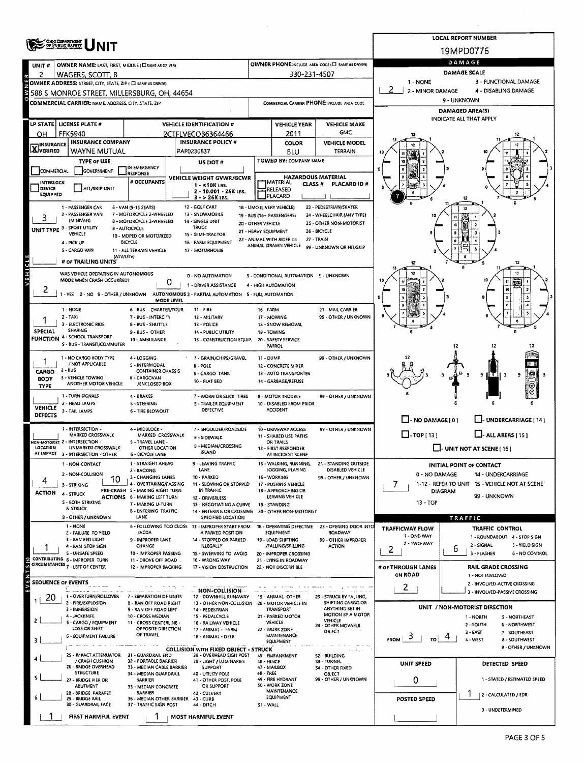|                                                                                   | ONG DEPARTMENT<br>OF PUBLIC BATKET                           |                                                               |                                                                   |                                            |                                                      |                                                   |                          |                      | <b>LOCAL REPORT NUMBER</b>                     |  |  |  |  |
|-----------------------------------------------------------------------------------|--------------------------------------------------------------|---------------------------------------------------------------|-------------------------------------------------------------------|--------------------------------------------|------------------------------------------------------|---------------------------------------------------|--------------------------|----------------------|------------------------------------------------|--|--|--|--|
|                                                                                   |                                                              |                                                               | 19MPD0776                                                         |                                            |                                                      |                                                   |                          |                      |                                                |  |  |  |  |
| <b>UNIT #</b>                                                                     | OWNER NAME: LAST, FIRST, MIDDLE (C) SAME AS DRIVERY          |                                                               |                                                                   |                                            |                                                      | OWNER PHONE:INCLUDE AREA CODE (L) SAME AS DRIVER! | DAMAGE                   |                      |                                                |  |  |  |  |
| 2                                                                                 | WAGERS, SCOTT, B                                             |                                                               |                                                                   |                                            | 330-231-4507                                         |                                                   |                          | DAMAGE SCALE         |                                                |  |  |  |  |
|                                                                                   | OWNER ADDRESS: STREET, CITY, STATE, ZIP ( C) SAME AS DRIVER) |                                                               |                                                                   | 1 - NONE<br>2<br>2 - MINOR DAMAGE          |                                                      | 3 - FUNCTIONAL DAMAGE                             |                          |                      |                                                |  |  |  |  |
|                                                                                   | 588 S MONROE STREET, MILLERSBURG, OH, 44654                  |                                                               |                                                                   |                                            |                                                      |                                                   |                          | 9 - UNKNOWN          | 4 - DISABLING DAMAGE                           |  |  |  |  |
|                                                                                   | <b>COMMERCIAL CARRIER: NAME, ADDRESS, CITY, STATE, ZIP</b>   |                                                               |                                                                   |                                            |                                                      | COMMERCIAL CARRIER PHONE: INCLUDE AREA CODE       |                          |                      |                                                |  |  |  |  |
|                                                                                   |                                                              |                                                               |                                                                   |                                            |                                                      |                                                   |                          |                      | DAMAGED AREA(S)<br>INDICATE ALL THAT APPLY     |  |  |  |  |
|                                                                                   | LP STATE LICENSE PLATE #                                     |                                                               | <b>VEHICLE IDENTIFICATION #</b>                                   |                                            | <b>VEHICLE YEAR</b>                                  | <b>VEHICLE MAKE</b>                               |                          |                      |                                                |  |  |  |  |
| OH                                                                                | <b>FFK5940</b>                                               |                                                               | 2CTFLVECOB6364466                                                 |                                            | 2011                                                 | GMC                                               |                          |                      |                                                |  |  |  |  |
| <b>INSURANCE</b><br><b>X</b> VERIFIED                                             | <b>INSURANCE COMPANY</b>                                     |                                                               | <b>INSURANCE POLICY #</b>                                         |                                            | <b>COLOR</b>                                         | <b>VEHICLE MODEL</b>                              |                          |                      |                                                |  |  |  |  |
|                                                                                   | WAYNE MUTUAL                                                 |                                                               | PAP0230837                                                        |                                            | BLU<br>TOWED BY: COMPANY NAME                        | TERRAIN                                           |                          |                      |                                                |  |  |  |  |
|                                                                                   | <b>TYPE or USE</b>                                           | IN EMERGENCY                                                  | US DOT #                                                          |                                            |                                                      |                                                   |                          |                      |                                                |  |  |  |  |
| COMMERCIAL                                                                        | GOVERNMENT                                                   | <b>RESPONSE</b>                                               | VEHICLE WEIGHT GVWR/GCWR                                          |                                            | <b>HAZARDOUS MATERIAL</b>                            |                                                   |                          |                      |                                                |  |  |  |  |
| INTERLOCK<br>DEVICE                                                               | HIT/SKIP UNIT                                                | # OCCUPANTS                                                   | $1 - 510K$ LBS.                                                   |                                            | <b>MATERIAL</b><br>CLASS <sup>#</sup><br>RELEASED    | PLACARD ID #                                      |                          |                      |                                                |  |  |  |  |
| <b>EQUIPPED</b>                                                                   |                                                              |                                                               | 2 - 10.001 - 26K LBS.<br>$3 - 26K$ LBS.                           |                                            | PLACARD                                              |                                                   |                          |                      |                                                |  |  |  |  |
|                                                                                   | 1 - PASSENGER CAR                                            | 6 - VAN (9-15 SLATS)                                          | 12 - GOLF CART                                                    |                                            | 18 - LIMO (LIVERY VEHICLE)                           | 23 - PEDESTRIAN/SKATER                            |                          |                      | 12                                             |  |  |  |  |
| J.                                                                                | 2 - PASSENGER VAN<br>(MINIVAN)                               | 7 - MOTORCYCLE 2-WHEELED                                      | 13 - SNOWMOBILE                                                   |                                            | 19 - BUS (16+ PASSENGERS)                            | 24 - WHEELCHAIR (ANY TYPE)                        | 10                       |                      |                                                |  |  |  |  |
|                                                                                   | UNIT TYPE 3 - SPORT UTILITY                                  | 8 - MOTORCYCLE 3-WHEELED<br>9 - AUTOCYCLE                     | <b>14 - SINGLE UNIT</b><br>TRUCK                                  | 20 - OTHER VEHICLE<br>21 - HEAVY EQUIPMENT |                                                      | 25 - OTHER NON-MOTORIST                           |                          | 10                   |                                                |  |  |  |  |
|                                                                                   | VEHICLE                                                      | 10 - MOPED OR MOTORIZED                                       | 15 - SEMI-TRACTOR                                                 |                                            | 22 - ANIMAL WITH RIDER OR                            | 26 - BICYCLE<br>27 - TRAIN                        |                          |                      |                                                |  |  |  |  |
|                                                                                   | 4 - PICK UP<br>5 - CARGO VAN                                 | <b>BICYCLE</b><br>11 - ALL TERRAIN VEHICLE                    | 16 - FARM EQUIPMENT<br>17 - MOTORHOME                             |                                            | ANIMAL-DRAWN VEHICLE                                 | 99 - UNKNOWN OR HIT/SKIP                          |                          |                      |                                                |  |  |  |  |
|                                                                                   | (ATV/UTV)                                                    |                                                               |                                                                   |                                            |                                                      |                                                   |                          |                      |                                                |  |  |  |  |
| VEHICLE                                                                           | # OF TRAILING UNITS                                          |                                                               |                                                                   |                                            |                                                      |                                                   | 12                       |                      | 12                                             |  |  |  |  |
|                                                                                   | WAS VEHICLE OPERATING IN AUTONOMOUS                          |                                                               | 0 - NO AUTOMATION                                                 |                                            | 3 - CONDITIONAL AUTOMATION 9 - UNKNOWN               |                                                   |                          |                      | 11                                             |  |  |  |  |
|                                                                                   | MODE WHEN CRASH OCCURRED?                                    | 0                                                             | 1 - DRIVER ASSISTANCE                                             |                                            | 4 - HIGH AUTOMATION                                  |                                                   |                          |                      |                                                |  |  |  |  |
| 2                                                                                 | 1-YES 2-NO 9-OTHER/UNKNOWN                                   |                                                               | AUTONOMOUS 2 - PARTIAL AUTOMATION 5 - FULL AUTOMATION             |                                            |                                                      |                                                   |                          |                      |                                                |  |  |  |  |
|                                                                                   |                                                              | MODE LEVEL                                                    |                                                                   |                                            |                                                      |                                                   |                          |                      |                                                |  |  |  |  |
|                                                                                   | 1 - NONE<br>$2 - TAXI$                                       | 6 - BUS - CHARTER/TOUR<br>7 - BUS - INTERCITY                 | $11 - FIRE$<br>12 - MILITARY                                      | <b>16 - FARM</b>                           | 17 - MOWING                                          | 21 - MAIL CARRIER<br>99 - OTHER / UNKNOWN         |                          |                      |                                                |  |  |  |  |
|                                                                                   | 3 - ELECTRONIC RIDE                                          | <b>B - BUS - SHUTTLE</b>                                      | 13 - POLICE                                                       |                                            | 18 - SNOW REMOVAL                                    |                                                   |                          |                      |                                                |  |  |  |  |
| <b>SPECIAL</b>                                                                    | SHARING<br>FUNCTION 4 - SCHOOL TRANSPORT                     | 9 - BUS - OTHER                                               | 14 - PUBLIC UTILITY                                               |                                            | 19 - TOWING                                          |                                                   |                          |                      |                                                |  |  |  |  |
|                                                                                   | S - BUS - TRANSIT/COMMUTER                                   | 10 - AMBULANCE                                                | 1S - CONSTRUCTION EQUIP. 20 - SAFETY SERVICE                      | PATROL                                     |                                                      |                                                   |                          | 12                   | 12                                             |  |  |  |  |
|                                                                                   |                                                              |                                                               |                                                                   |                                            |                                                      |                                                   |                          |                      |                                                |  |  |  |  |
|                                                                                   | 1 - NO CARGO BODY TYPE<br>/ NOT APPLICABLE                   | 4 - LOGGING<br><b>S - INTERMODAL</b>                          | 7 - GRAIN/CHIPS/GRAVEL<br><b>B-POLE</b>                           | 11 - DUMP                                  | 12 - CONCRETE MIXER                                  | 99 - OTHER / UNKNOWN                              |                          |                      |                                                |  |  |  |  |
| CARGO                                                                             | $2 - 8US$                                                    | <b>CONTAINER CHASSIS</b>                                      | 9 - CARGO TANK                                                    |                                            | 13 - AUTO TRANSPORTER                                |                                                   |                          | Θ                    | 餬<br>० ॥ र<br>9<br>-3                          |  |  |  |  |
| BODY                                                                              | 3 - VEHICLE TOWING<br>ANOTHER MOTOR VEHICLE                  | 6 - CARGOVAN<br>/ENCLOSED BOX                                 | 10 - FLAT BED                                                     |                                            | 14 - GARBAGE/REFUSE                                  |                                                   |                          |                      | Ю                                              |  |  |  |  |
| <b>TYPE</b>                                                                       |                                                              |                                                               |                                                                   |                                            |                                                      |                                                   |                          |                      |                                                |  |  |  |  |
|                                                                                   | 1 - TURN SIGNALS<br>2 - HEAD LAMPS                           | 4 - BRAKES<br><b>S - STEERING</b>                             | 7 - WORN OR SLICK TIRES<br><b>B - TRAILER EQUIPMENT</b>           |                                            | <b>9 - MOTOR TROUBLE</b><br>10 - DISABLED FROM PRIOR | 99 - OTHER / UNKNOWN                              |                          |                      |                                                |  |  |  |  |
| <b>VEHICLE</b><br>DEFECTS                                                         | 3 - TAIL LAMPS                                               | 6 - TIRE BLOWOUT                                              | DEFECTIVE                                                         |                                            | <b>ACCIDENT</b>                                      |                                                   |                          |                      |                                                |  |  |  |  |
|                                                                                   |                                                              |                                                               |                                                                   |                                            |                                                      |                                                   | $\Box$ - NO DAMAGE [ 0 ] |                      | J- UNDERCARRIAGE [ 14 ]                        |  |  |  |  |
|                                                                                   | 1 - INTERSECTION -<br>MARKED CROSSWALK                       | 4 - MIDBLOCK -<br>MARKED CROSSWALK                            | 7 - SHOULDER/ROADSIDE                                             |                                            | 10 - DRIVEWAY ACCESS                                 | 99 - OTHER / UNKNOWN                              | $\Box$ -TOP(13)          |                      | $\Box$ - ALL AREAS [15]                        |  |  |  |  |
|                                                                                   | ION-MOTORIST 2 - INTERSECTION -                              | 5 - TRAVEL LANE -                                             | <b>B-SIDEWALK</b>                                                 |                                            | 11 - SHARED USE PATHS<br>OR TRAILS                   |                                                   |                          |                      |                                                |  |  |  |  |
| LOCATION                                                                          | UNMARKED CROSSWALK<br>AT IMPACT 3 - INTERSECTION - OTHER     | OTHER LOCATION<br>6 - BICYCLE LANE                            | 9 - MEDIAN/CROSSING<br><b>ISLAND</b>                              |                                            | 12 - FIRST RESPONDER<br>AT INCIDENT SCENE            |                                                   |                          |                      | $\Box$ - UNIT NOT AT SCENE [ 16 ]              |  |  |  |  |
|                                                                                   | 1 - NON-CONTACT                                              | 1 - STRAIGHT AHEAD                                            | - LEAVING TRAFFIC                                                 |                                            | WALKING, RUNNING,                                    | 21 - STANDING OUTSIDE                             |                          |                      |                                                |  |  |  |  |
|                                                                                   |                                                              | 2 - BACKING                                                   | <b>LANE</b>                                                       |                                            | JOGGING, PLAYING                                     | DISABLED VEHICLE                                  |                          |                      | <b>INITIAL POINT OF CONTACT</b>                |  |  |  |  |
| 4                                                                                 | 2 - NON-COLLISION<br>10                                      | 3 - CHANGING LANES                                            | 10 - PARKED                                                       |                                            | 16 - WORKING                                         | 99 - OTHER / UNKNOWN                              | 0 - NO DAMAGE            |                      | 14 - UNDERCARRIAGE                             |  |  |  |  |
| <b>ACTION</b>                                                                     | 3 - STRIKING                                                 | 4 - OVERTAKING/PASSING<br>PRE-CRASH 5 - MAKING RIGHT TURN     | 11 - SLOWING OR STOPPED<br>IN TRAFFIC                             |                                            | 17 - PUSHING VEHICLE<br>18 - APPROACHING OR          |                                                   | 7                        | DIAGRAM              | 1-12 - REFER TO UNIT 15 - VEHICLE NOT AT SCENE |  |  |  |  |
|                                                                                   | 4 - STRUCK<br>S - 80TH STRIKING                              | <b>ACTIONS 6 - MAKING LEFT TURN</b>                           | 12 - ORIVERLESS                                                   |                                            | LEAVING VEHICLE                                      |                                                   |                          |                      | 99 - UNKNOWN                                   |  |  |  |  |
|                                                                                   | & STRUCK                                                     | 7 - MAKING U-TURN<br><b>B - ENTERING TRAFFIC</b>              | 13 - NEGOTIATING A CURVE<br>14 - ENTERING OR CROSSING             |                                            | 19 - STANDING<br>20 - OTHER NON-MOTORIST             |                                                   |                          | 13 - TOP             |                                                |  |  |  |  |
|                                                                                   | 9 - OTHER / UNKNOWN                                          | LANE                                                          | SPECIFIED LOCATION                                                |                                            |                                                      |                                                   |                          |                      | TRAFFIC                                        |  |  |  |  |
|                                                                                   | 1 - NONE                                                     |                                                               | 8 - FOLLOWING TOO CLOSE 13 - IMPROPER START FROM                  |                                            | 18 - OPERATING DEFECTIVE<br><b>EQUIPMENT</b>         | 23 - OPENING DOOR INTO                            | <b>TRAFFICWAY FLOW</b>   |                      | TRAFFIC CONTROL                                |  |  |  |  |
|                                                                                   | 2 - FAILURE TO YIELD<br>3 - RAN RED LIGHT                    | /ACDA<br>9 - IMPROPER LANE                                    | A PARKED POSITION<br>14 - STOPPED OR PARKED                       |                                            | 19 - LOAD SHIFTING                                   | ROADWAY<br>99 - OTHER IMPROPER                    | 1 - ONE-WAY              |                      | 1 - ROUNDABOUT 4 - STOP SIGN                   |  |  |  |  |
|                                                                                   | 4 - RAN STOP SIGN                                            | CHANGE                                                        | <b>ILLEGALLY</b>                                                  |                                            | /FALLING/SPILLING                                    | ACTION                                            | 2 - TWO-WAY<br>2         | 6                    | 2 - SIGNAL<br>5 - YIELD SIGN                   |  |  |  |  |
|                                                                                   | 5 - UNSAFE SPEED<br>CONTRIBUTING 6 - IMPROPER TURN           | 10 - IMPROPER PASSING<br>11 - DROVE OFF ROAD.                 | 15 - SWERVING TO AVOID<br>16 - WRONG WAY                          |                                            | 20 - IMPROPER CROSSING<br>21 - LYING IN ROADWAY      |                                                   |                          |                      | 3 - FLASHER<br>6 - NO CONTROL                  |  |  |  |  |
| $E$ V $E$ N T S $(s)$                                                             | CIRCUMSTANCES 7 - LEFT OF CENTER                             | 12 - IMPROPER BACKING                                         | 17 - VISION OBSTRUCTION                                           |                                            | 22 - NOT DISCERNIBLE                                 |                                                   | # OF THROUGH LANES       |                      | <b>RAIL GRADE CROSSING</b>                     |  |  |  |  |
|                                                                                   |                                                              |                                                               |                                                                   |                                            |                                                      |                                                   | <b>ON ROAD</b>           |                      | 1 - NOT INVLOVED                               |  |  |  |  |
| <b>SEOUENCE OF EVENTS</b>                                                         |                                                              |                                                               | $-$ NON-COLLISION $-$                                             |                                            |                                                      |                                                   | 2                        |                      | 2 - INVOLVED-ACTIVE CROSSING                   |  |  |  |  |
| 20                                                                                | 1 - OVERTURN/ROLLOVER                                        | 7 - SEPARATION OF UNITS                                       | 12 - DOWNHILL RUNAWAY                                             |                                            | 19 - ANIMAL -OTHER                                   | 23 - STRUCK BY FALLING,                           |                          |                      | 3 - INVOLVED-PASSIVE CROSSING                  |  |  |  |  |
|                                                                                   | 2 - FIRE/EXPLOSION<br>3 - IMMERSION                          | <b>B - RAN OFF ROAD RIGHT</b><br>9 - RAN OFF ROAD LEFT        | 13 - OTHER NON-COLLISION 20 - MOTOR VEHICLE IN<br>14 - PEDESTRIAN |                                            | TRANSPORT                                            | SHIFTING CARGO OR<br>ANYTHING SET IN              |                          |                      | UNIT / NON-MOTORIST DIRECTION                  |  |  |  |  |
|                                                                                   | 4 - JACKKNIFE                                                | 10 - CROSS MEDIAN                                             | 15 - PEDALCYCLE                                                   |                                            | 21 - PARKED MOTOR                                    | MOTION BY A MOTOR                                 |                          |                      | 1 - NORTH<br>S - NORTHEAST                     |  |  |  |  |
| 2                                                                                 | 5 - CARGO / EQUIPMENT<br>LOSS OR SHIFT                       | 11 - CROSS CENTERLINE -<br>OPPOSITE DIRECTION                 | 16 - RAILWAY VEHICLE<br>17 - ANIMAL - FARM                        |                                            | VEHICLE<br>22 - WORK ZONE                            | VEHICLE<br>24 - OTHER MOVABLE                     |                          |                      | 2 - SOUTH<br><b>6 - NORTHWEST</b>              |  |  |  |  |
|                                                                                   | <b>6 - EQUIPMENT FAILURE</b>                                 | OF TRAVEL                                                     | 18 - ANIMAL - DEER                                                |                                            | MAINTENANCE                                          | OBJECT                                            | 5<br>FROM<br>TO          |                      | $3 - EAST$<br>7 - SOUTHEAST                    |  |  |  |  |
|                                                                                   |                                                              |                                                               | <b>COLLISION WITH FIXED OBJECT - STRUCK</b>                       |                                            | EQUIPMENT                                            |                                                   |                          |                      | 4-WEST<br>8 - SOUTHWEST<br>9 - OTHER / UNKNOWN |  |  |  |  |
|                                                                                   | 25 - IMPACT ATTENUATOR                                       | 31 - GUARDRAIL END                                            | 38 - OVERHEAD SIGN POST                                           |                                            | 45 - EMBANKMENT                                      | 52 - BUILDING                                     |                          |                      |                                                |  |  |  |  |
|                                                                                   | / CRASH CUSHION<br>26 - BRIDGE OVERHEAD                      | 32 - PORTABLE BARRIER<br>33 - MEDIAN CABLE BARRIER            | 39 - LIGHT / LUMINARIES<br><b>SUPPORT</b>                         | 46 - FENCE                                 | 47 - MAILBOX                                         | S3 - TUNNEL<br>54 - OTHER FIXED                   | UNIT SPEED               |                      | DETECTED SPEED                                 |  |  |  |  |
|                                                                                   | <b>STRUCTURE</b>                                             | 34 - MEDIAN GUARDRAIL                                         | 40 - UTILITY POLE                                                 | 48 - TREE                                  |                                                      | OBJECT                                            |                          |                      |                                                |  |  |  |  |
|                                                                                   | 27 - BRIDGE PIER OR<br><b>ABUTMENT</b>                       | <b>BARRIER</b><br>35 - MEDIAN CONCRETE                        | 41 - OTHER POST, POLE<br>OR SUPPORT                               |                                            | 49 - FIRE HYDRANT<br>S0 - WORK ZONE                  | 99 - OTHER / UNKNOWN                              | 0                        |                      | 1 - STATED / ESTIMATED SPEED                   |  |  |  |  |
| MAINTENANCE<br>2B - BRIDGE PARAPET<br><b>BARRIER</b><br>42 - CULVERT<br>EQUIPMENT |                                                              |                                                               |                                                                   |                                            |                                                      |                                                   |                          | 2 - CALCULATED / EDR |                                                |  |  |  |  |
|                                                                                   | 29 - BRIDGE RAIL<br>30 - GUARDRAIL FACE                      | 36 - MEDIAN OTHER BARRIER 43 - CURB<br>37 - TRAFFIC SIGN POST |                                                                   | POSTED SPEED                               |                                                      |                                                   |                          |                      |                                                |  |  |  |  |
|                                                                                   | FIRST HARMFUL EVENT                                          |                                                               | MOST HARMFUL EVENT                                                | 51 - WALL                                  |                                                      |                                                   |                          |                      | 3 - UNDETERMINED                               |  |  |  |  |
|                                                                                   |                                                              |                                                               |                                                                   |                                            |                                                      |                                                   |                          |                      |                                                |  |  |  |  |

 $\bar{z}$